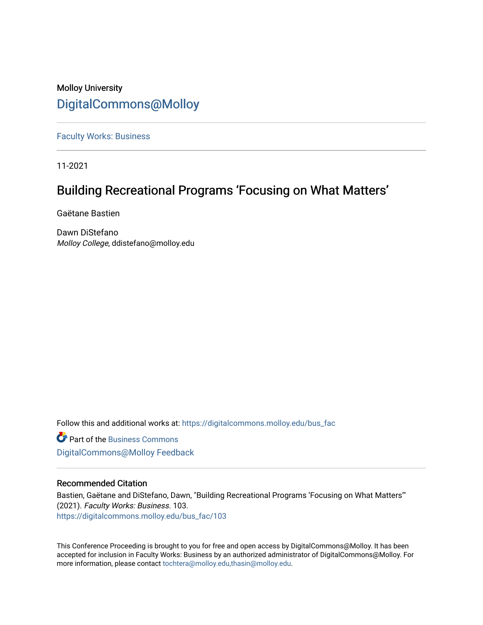# Molloy University [DigitalCommons@Molloy](https://digitalcommons.molloy.edu/)

[Faculty Works: Business](https://digitalcommons.molloy.edu/bus_fac) 

11-2021

# Building Recreational Programs 'Focusing on What Matters'

Gaëtane Bastien

Dawn DiStefano Molloy College, ddistefano@molloy.edu

Follow this and additional works at: [https://digitalcommons.molloy.edu/bus\\_fac](https://digitalcommons.molloy.edu/bus_fac?utm_source=digitalcommons.molloy.edu%2Fbus_fac%2F103&utm_medium=PDF&utm_campaign=PDFCoverPages)

**C** Part of the [Business Commons](https://network.bepress.com/hgg/discipline/622?utm_source=digitalcommons.molloy.edu%2Fbus_fac%2F103&utm_medium=PDF&utm_campaign=PDFCoverPages) [DigitalCommons@Molloy Feedback](https://molloy.libwizard.com/f/dcfeedback)

# Recommended Citation

Bastien, Gaëtane and DiStefano, Dawn, "Building Recreational Programs 'Focusing on What Matters'" (2021). Faculty Works: Business. 103. [https://digitalcommons.molloy.edu/bus\\_fac/103](https://digitalcommons.molloy.edu/bus_fac/103?utm_source=digitalcommons.molloy.edu%2Fbus_fac%2F103&utm_medium=PDF&utm_campaign=PDFCoverPages)

This Conference Proceeding is brought to you for free and open access by DigitalCommons@Molloy. It has been accepted for inclusion in Faculty Works: Business by an authorized administrator of DigitalCommons@Molloy. For more information, please contact [tochtera@molloy.edu,thasin@molloy.edu.](mailto:tochtera@molloy.edu,thasin@molloy.edu)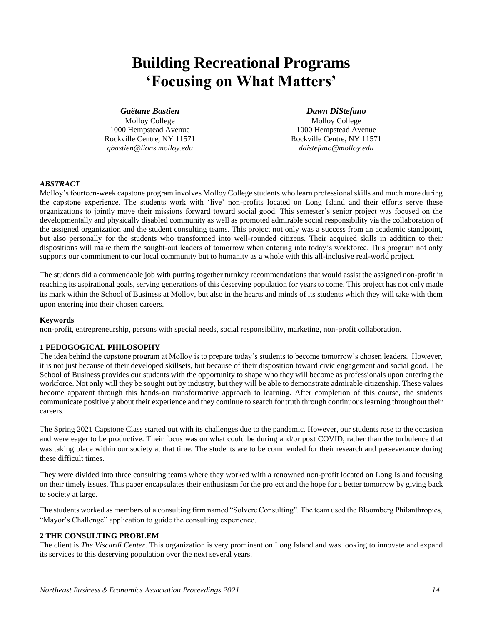# **Building Recreational Programs 'Focusing on What Matters'**

# *Gaëtane Bastien*

Molloy College 1000 Hempstead Avenue Rockville Centre, NY 11571 *gbastien@lions.molloy.edu*

# *Dawn DiStefano*

Molloy College 1000 Hempstead Avenue Rockville Centre, NY 11571 *ddistefano@molloy.edu*

## *ABSTRACT*

Molloy's fourteen-week capstone program involves Molloy College students who learn professional skills and much more during the capstone experience. The students work with 'live' non-profits located on Long Island and their efforts serve these organizations to jointly move their missions forward toward social good. This semester's senior project was focused on the developmentally and physically disabled community as well as promoted admirable social responsibility via the collaboration of the assigned organization and the student consulting teams. This project not only was a success from an academic standpoint, but also personally for the students who transformed into well-rounded citizens. Their acquired skills in addition to their dispositions will make them the sought-out leaders of tomorrow when entering into today's workforce. This program not only supports our commitment to our local community but to humanity as a whole with this all-inclusive real-world project.

The students did a commendable job with putting together turnkey recommendations that would assist the assigned non-profit in reaching its aspirational goals, serving generations of this deserving population for years to come. This project has not only made its mark within the School of Business at Molloy, but also in the hearts and minds of its students which they will take with them upon entering into their chosen careers.

#### **Keywords**

non-profit, entrepreneurship, persons with special needs, social responsibility, marketing, non-profit collaboration.

# **1 PEDOGOGICAL PHILOSOPHY**

The idea behind the capstone program at Molloy is to prepare today's students to become tomorrow's chosen leaders. However, it is not just because of their developed skillsets, but because of their disposition toward civic engagement and social good. The School of Business provides our students with the opportunity to shape who they will become as professionals upon entering the workforce. Not only will they be sought out by industry, but they will be able to demonstrate admirable citizenship. These values become apparent through this hands-on transformative approach to learning. After completion of this course, the students communicate positively about their experience and they continue to search for truth through continuous learning throughout their careers.

The Spring 2021 Capstone Class started out with its challenges due to the pandemic. However, our students rose to the occasion and were eager to be productive. Their focus was on what could be during and/or post COVID, rather than the turbulence that was taking place within our society at that time. The students are to be commended for their research and perseverance during these difficult times.

They were divided into three consulting teams where they worked with a renowned non-profit located on Long Island focusing on their timely issues. This paper encapsulates their enthusiasm for the project and the hope for a better tomorrow by giving back to society at large.

The students worked as members of a consulting firm named "Solvere Consulting". The team used the Bloomberg Philanthropies, "Mayor's Challenge" application to guide the consulting experience.

# **2 THE CONSULTING PROBLEM**

The client is *The Viscardi Center.* This organization is very prominent on Long Island and was looking to innovate and expand its services to this deserving population over the next several years.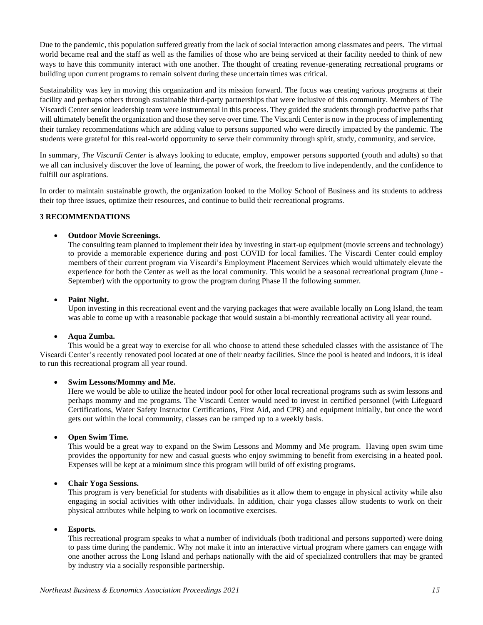Due to the pandemic, this population suffered greatly from the lack of social interaction among classmates and peers. The virtual world became real and the staff as well as the families of those who are being serviced at their facility needed to think of new ways to have this community interact with one another. The thought of creating revenue-generating recreational programs or building upon current programs to remain solvent during these uncertain times was critical.

Sustainability was key in moving this organization and its mission forward. The focus was creating various programs at their facility and perhaps others through sustainable third-party partnerships that were inclusive of this community. Members of The Viscardi Center senior leadership team were instrumental in this process. They guided the students through productive paths that will ultimately benefit the organization and those they serve over time. The Viscardi Center is now in the process of implementing their turnkey recommendations which are adding value to persons supported who were directly impacted by the pandemic. The students were grateful for this real-world opportunity to serve their community through spirit, study, community, and service.

In summary, *The Viscardi Center* is always looking to educate, employ, empower persons supported (youth and adults) so that we all can inclusively discover the love of learning, the power of work, the freedom to live independently, and the confidence to fulfill our aspirations.

In order to maintain sustainable growth, the organization looked to the Molloy School of Business and its students to address their top three issues, optimize their resources, and continue to build their recreational programs.

# **3 RECOMMENDATIONS**

# • **Outdoor Movie Screenings.**

The consulting team planned to implement their idea by investing in start-up equipment (movie screens and technology) to provide a memorable experience during and post COVID for local families. The Viscardi Center could employ members of their current program via Viscardi's Employment Placement Services which would ultimately elevate the experience for both the Center as well as the local community. This would be a seasonal recreational program (June - September) with the opportunity to grow the program during Phase II the following summer.

# • **Paint Night.**

Upon investing in this recreational event and the varying packages that were available locally on Long Island, the team was able to come up with a reasonable package that would sustain a bi-monthly recreational activity all year round.

# • **Aqua Zumba.**

This would be a great way to exercise for all who choose to attend these scheduled classes with the assistance of The Viscardi Center's recently renovated pool located at one of their nearby facilities. Since the pool is heated and indoors, it is ideal to run this recreational program all year round.

# • **Swim Lessons/Mommy and Me.**

Here we would be able to utilize the heated indoor pool for other local recreational programs such as swim lessons and perhaps mommy and me programs. The Viscardi Center would need to invest in certified personnel (with Lifeguard Certifications, Water Safety Instructor Certifications, First Aid, and CPR) and equipment initially, but once the word gets out within the local community, classes can be ramped up to a weekly basis.

# • **Open Swim Time.**

This would be a great way to expand on the Swim Lessons and Mommy and Me program. Having open swim time provides the opportunity for new and casual guests who enjoy swimming to benefit from exercising in a heated pool. Expenses will be kept at a minimum since this program will build of off existing programs.

# • **Chair Yoga Sessions.**

This program is very beneficial for students with disabilities as it allow them to engage in physical activity while also engaging in social activities with other individuals. In addition, chair yoga classes allow students to work on their physical attributes while helping to work on locomotive exercises.

# • **Esports.**

This recreational program speaks to what a number of individuals (both traditional and persons supported) were doing to pass time during the pandemic. Why not make it into an interactive virtual program where gamers can engage with one another across the Long Island and perhaps nationally with the aid of specialized controllers that may be granted by industry via a socially responsible partnership.